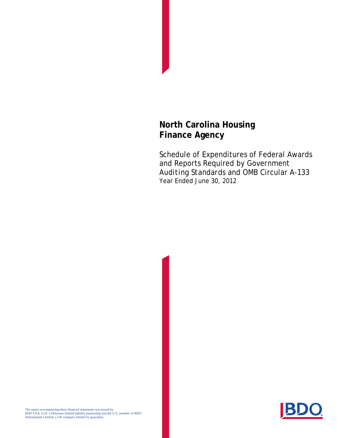Schedule of Expenditures of Federal Awards and Reports Required by *Government Auditing Standards* and OMB Circular A-133 Year Ended June 30, 2012



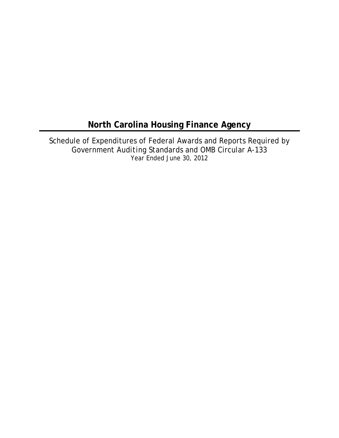Schedule of Expenditures of Federal Awards and Reports Required by *Government Auditing Standards* and OMB Circular A-133 Year Ended June 30, 2012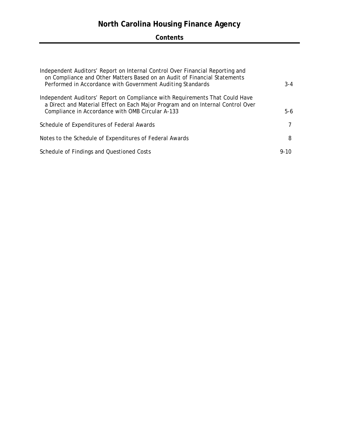## **Contents**

| Independent Auditors' Report on Internal Control Over Financial Reporting and<br>on Compliance and Other Matters Based on an Audit of Financial Statements<br>Performed in Accordance with Government Auditing Standards | $3 - 4$  |
|--------------------------------------------------------------------------------------------------------------------------------------------------------------------------------------------------------------------------|----------|
| Independent Auditors' Report on Compliance with Requirements That Could Have<br>a Direct and Material Effect on Each Major Program and on Internal Control Over<br>Compliance in Accordance with OMB Circular A-133      | $5-6$    |
| Schedule of Expenditures of Federal Awards                                                                                                                                                                               |          |
| Notes to the Schedule of Expenditures of Federal Awards                                                                                                                                                                  | 8        |
| Schedule of Findings and Questioned Costs                                                                                                                                                                                | $9 - 10$ |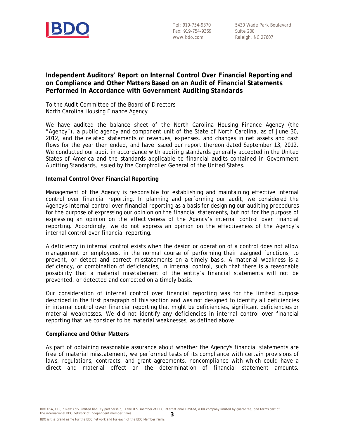

Tel: 919-754-9370 Fax: 919-754-9369 www.bdo.com

#### **Independent Auditors' Report on Internal Control Over Financial Reporting and on Compliance and Other Matters Based on an Audit of Financial Statements Performed in Accordance with** *Government Auditing Standards*

To the Audit Committee of the Board of Directors North Carolina Housing Finance Agency

We have audited the balance sheet of the North Carolina Housing Finance Agency (the "Agency"), a public agency and component unit of the State of North Carolina, as of June 30, 2012, and the related statements of revenues, expenses, and changes in net assets and cash flows for the year then ended, and have issued our report thereon dated September 13, 2012. We conducted our audit in accordance with auditing standards generally accepted in the United States of America and the standards applicable to financial audits contained in *Government Auditing Standards*, issued by the Comptroller General of the United States.

#### **Internal Control Over Financial Reporting**

Management of the Agency is responsible for establishing and maintaining effective internal control over financial reporting. In planning and performing our audit, we considered the Agency's internal control over financial reporting as a basis for designing our auditing procedures for the purpose of expressing our opinion on the financial statements, but not for the purpose of expressing an opinion on the effectiveness of the Agency's internal control over financial reporting. Accordingly, we do not express an opinion on the effectiveness of the Agency's internal control over financial reporting.

A *deficiency in internal control* exists when the design or operation of a control does not allow management or employees, in the normal course of performing their assigned functions, to prevent, or detect and correct misstatements on a timely basis. A *material weakness* is a deficiency, or combination of deficiencies, in internal control, such that there is a reasonable possibility that a material misstatement of the entity's financial statements will not be prevented, or detected and corrected on a timely basis.

Our consideration of internal control over financial reporting was for the limited purpose described in the first paragraph of this section and was not designed to identify all deficiencies in internal control over financial reporting that might be deficiencies, significant deficiencies or material weaknesses. We did not identify any deficiencies in internal control over financial reporting that we consider to be material weaknesses, as defined above.

#### **Compliance and Other Matters**

As part of obtaining reasonable assurance about whether the Agency's financial statements are free of material misstatement, we performed tests of its compliance with certain provisions of laws, regulations, contracts, and grant agreements, noncompliance with which could have a direct and material effect on the determination of financial statement amounts.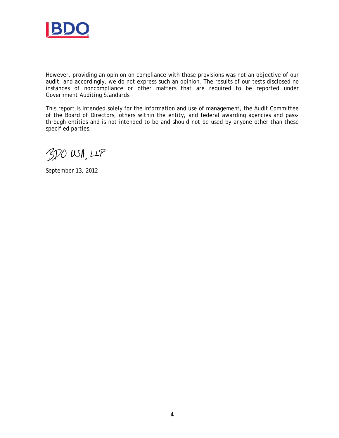

However, providing an opinion on compliance with those provisions was not an objective of our audit, and accordingly, we do not express such an opinion. The results of our tests disclosed no instances of noncompliance or other matters that are required to be reported under *Government Auditing Standards*.

This report is intended solely for the information and use of management, the Audit Committee of the Board of Directors, others within the entity, and federal awarding agencies and passthrough entities and is not intended to be and should not be used by anyone other than these specified parties.

BDO USA, LLP

September 13, 2012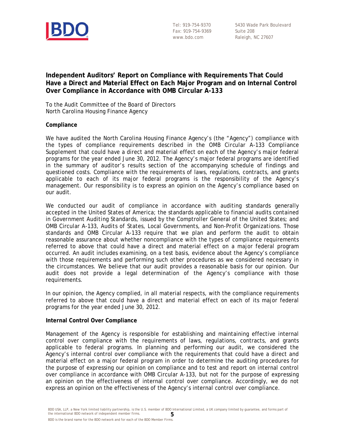

Tel: 919-754-9370 Fax: 919-754-9369 www.bdo.com

5430 Wade Park Boulevard Suite 208 Raleigh, NC 27607

### **Independent Auditors' Report on Compliance with Requirements That Could Have a Direct and Material Effect on Each Major Program and on Internal Control Over Compliance in Accordance with OMB Circular A-133**

To the Audit Committee of the Board of Directors North Carolina Housing Finance Agency

#### **Compliance**

We have audited the North Carolina Housing Finance Agency's (the "Agency") compliance with the types of compliance requirements described in the *OMB Circular A-133 Compliance Supplement* that could have a direct and material effect on each of the Agency's major federal programs for the year ended June 30, 2012. The Agency's major federal programs are identified in the summary of auditor's results section of the accompanying schedule of findings and questioned costs. Compliance with the requirements of laws, regulations, contracts, and grants applicable to each of its major federal programs is the responsibility of the Agency's management. Our responsibility is to express an opinion on the Agency's compliance based on our audit.

We conducted our audit of compliance in accordance with auditing standards generally accepted in the United States of America; the standards applicable to financial audits contained in *Government Auditing Standards*, issued by the Comptroller General of the United States; and OMB Circular A-133, *Audits of States, Local Governments, and Non-Profit Organizations*. Those standards and OMB Circular A-133 require that we plan and perform the audit to obtain reasonable assurance about whether noncompliance with the types of compliance requirements referred to above that could have a direct and material effect on a major federal program occurred. An audit includes examining, on a test basis, evidence about the Agency's compliance with those requirements and performing such other procedures as we considered necessary in the circumstances. We believe that our audit provides a reasonable basis for our opinion. Our audit does not provide a legal determination of the Agency's compliance with those requirements.

In our opinion, the Agency complied, in all material respects, with the compliance requirements referred to above that could have a direct and material effect on each of its major federal programs for the year ended June 30, 2012.

#### **Internal Control Over Compliance**

Management of the Agency is responsible for establishing and maintaining effective internal control over compliance with the requirements of laws, regulations, contracts, and grants applicable to federal programs. In planning and performing our audit, we considered the Agency's internal control over compliance with the requirements that could have a direct and material effect on a major federal program in order to determine the auditing procedures for the purpose of expressing our opinion on compliance and to test and report on internal control over compliance in accordance with OMB Circular A-133, but not for the purpose of expressing an opinion on the effectiveness of internal control over compliance. Accordingly, we do not express an opinion on the effectiveness of the Agency's internal control over compliance.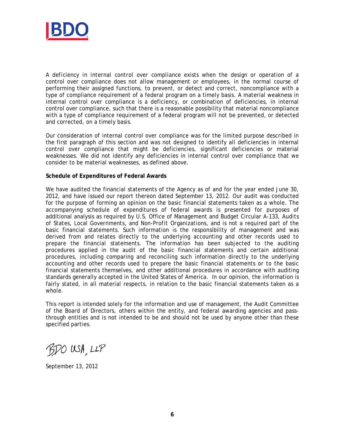

A *deficiency in internal control over compliance* exists when the design or operation of a control over compliance does not allow management or employees, in the normal course of performing their assigned functions, to prevent, or detect and correct, noncompliance with a type of compliance requirement of a federal program on a timely basis. A material weakness in internal control over compliance is a deficiency, or combination of deficiencies, in internal control over compliance, such that there is a reasonable possibility that material noncompliance with a type of compliance requirement of a federal program will not be prevented, or detected and corrected, on a timely basis.

Our consideration of internal control over compliance was for the limited purpose described in the first paragraph of this section and was not designed to identify all deficiencies in internal control over compliance that might be deficiencies, significant deficiencies or material weaknesses. We did not identify any deficiencies in internal control over compliance that we consider to be material weaknesses, as defined above.

#### **Schedule of Expenditures of Federal Awards**

We have audited the financial statements of the Agency as of and for the year ended June 30, 2012, and have issued our report thereon dated September 13, 2012. Our audit was conducted for the purpose of forming an opinion on the basic financial statements taken as a whole. The accompanying schedule of expenditures of federal awards is presented for purposes of additional analysis as required by U.S. Office of Management and Budget Circular A-133, *Audits of States, Local Governments, and Non-Profit Organizations*, and is not a required part of the basic financial statements. Such information is the responsibility of management and was derived from and relates directly to the underlying accounting and other records used to prepare the financial statements. The information has been subjected to the auditing procedures applied in the audit of the basic financial statements and certain additional procedures, including comparing and reconciling such information directly to the underlying accounting and other records used to prepare the basic financial statements or to the basic financial statements themselves, and other additional procedures in accordance with auditing standards generally accepted in the United States of America. In our opinion, the information is fairly stated, in all material respects, in relation to the basic financial statements taken as a whole.

This report is intended solely for the information and use of management, the Audit Committee of the Board of Directors*,* others within the entity, and federal awarding agencies and passthrough entities and is not intended to be and should not be used by anyone other than these specified parties.

BDO USA, LLP

September 13, 2012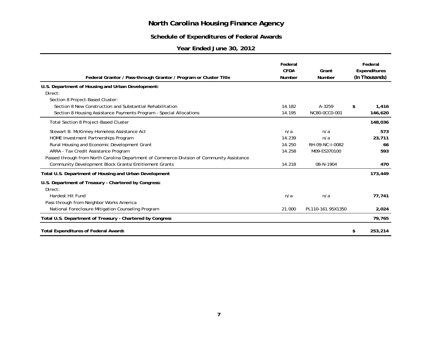### **Schedule of Expenditures of Federal Awards**

### **Year Ended June 30, 2012**

| Federal Grantor / Pass-through Grantor / Program or Cluster Title                          | Federal<br><b>CFDA</b><br><b>Number</b> | Grant<br>Number   | Federal<br>Expenditures<br>(In Thousands) |
|--------------------------------------------------------------------------------------------|-----------------------------------------|-------------------|-------------------------------------------|
| U.S. Department of Housing and Urban Development:                                          |                                         |                   |                                           |
| Direct:                                                                                    |                                         |                   |                                           |
| Section 8 Project-Based Cluster:                                                           |                                         |                   |                                           |
| Section 8 New Construction and Substantial Rehabilitation                                  | 14.182                                  | A-3259            | \$<br>1,416                               |
| Section 8 Housing Assistance Payments Program - Special Allocations                        | 14.195                                  | NC80-0CC0-001     | 146,620                                   |
| Total Section 8 Project-Based Cluster                                                      |                                         |                   | 148,036                                   |
| Stewart B. McKinney Homeless Assistance Act                                                | n/a                                     | n/a               | 573                                       |
| HOME Investment Partnerships Program                                                       | 14.239                                  | n/a               | 23,711                                    |
| Rural Housing and Economic Development Grant                                               | 14.250                                  | RH-09-NC-I-0082   | 66                                        |
| ARRA - Tax Credit Assistance Program                                                       | 14.258                                  | M09-ES370100      | 593                                       |
| Passed through from North Carolina Department of Commerce-Division of Community Assistance |                                         |                   |                                           |
| Community Development Block Grants/Entitlement Grants                                      | 14.218                                  | 08-N-1904         | 470                                       |
| Total U.S. Department of Housing and Urban Development                                     |                                         |                   | 173,449                                   |
| U.S. Department of Treasury - Chartered by Congress:                                       |                                         |                   |                                           |
| Direct:                                                                                    |                                         |                   |                                           |
| Hardest Hit Fund                                                                           | n/a                                     | n/a               | 77,741                                    |
| Pass through from Neighbor Works America                                                   |                                         |                   |                                           |
| National Foreclosure Mitigation Counseling Program                                         | 21.000                                  | PL110-161.95X1350 | 2,024                                     |
| Total U.S. Department of Treasury - Chartered by Congress                                  |                                         |                   | 79,765                                    |
| <b>Total Expenditures of Federal Awards</b>                                                |                                         |                   | \$<br>253,214                             |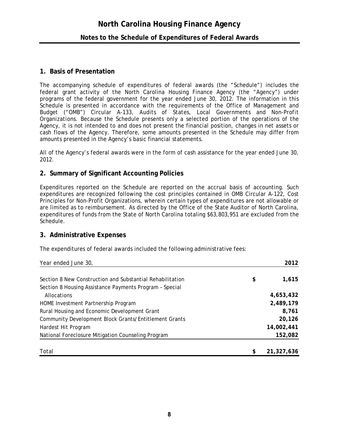#### **1. Basis of Presentation**

The accompanying schedule of expenditures of federal awards (the "Schedule") includes the federal grant activity of the North Carolina Housing Finance Agency (the "Agency") under programs of the federal government for the year ended June 30, 2012. The information in this Schedule is presented in accordance with the requirements of the Office of Management and Budget ("OMB") Circular A-133, *Audits of States, Local Governments and Non-Profit Organizations*. Because the Schedule presents only a selected portion of the operations of the Agency, it is not intended to and does not present the financial position, changes in net assets or cash flows of the Agency. Therefore, some amounts presented in the Schedule may differ from amounts presented in the Agency's basic financial statements.

All of the Agency's federal awards were in the form of cash assistance for the year ended June 30, 2012.

### **2. Summary of Significant Accounting Policies**

Expenditures reported on the Schedule are reported on the accrual basis of accounting. Such expenditures are recognized following the cost principles contained in OMB Circular A-122, Cost Principles for Non-Profit Organizations, wherein certain types of expenditures are not allowable or are limited as to reimbursement. As directed by the Office of the State Auditor of North Carolina, expenditures of funds from the State of North Carolina totaling \$63,803,951 are excluded from the Schedule.

### **3. Administrative Expenses**

The expenditures of federal awards included the following administrative fees:

| Year ended June 30,                                          |            | 2012       |  |
|--------------------------------------------------------------|------------|------------|--|
| Section 8 New Construction and Substantial Rehabilitation    | \$         | 1,615      |  |
| Section 8 Housing Assistance Payments Program - Special      |            |            |  |
| Allocations                                                  |            | 4,653,432  |  |
| HOME Investment Partnership Program                          |            | 2,489,179  |  |
| Rural Housing and Economic Development Grant                 |            | 8,761      |  |
| <b>Community Development Block Grants/Entitlement Grants</b> |            | 20,126     |  |
| Hardest Hit Program                                          | 14,002,441 |            |  |
| National Foreclosure Mitigation Counseling Program           |            | 152,082    |  |
|                                                              |            |            |  |
| Total                                                        | \$         | 21,327,636 |  |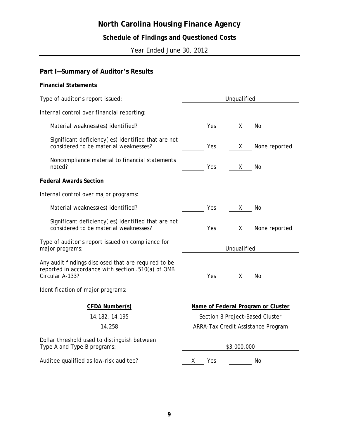## **Schedule of Findings and Questioned Costs**

Year Ended June 30, 2012

## **Part I—Summary of Auditor's Results**

| <b>Financial Statements</b>                                                                                                   |                                    |  |  |
|-------------------------------------------------------------------------------------------------------------------------------|------------------------------------|--|--|
| Type of auditor's report issued:                                                                                              | Unqualified                        |  |  |
| Internal control over financial reporting:                                                                                    |                                    |  |  |
| Material weakness(es) identified?                                                                                             | Yes<br>No<br>X.                    |  |  |
| Significant deficiency(ies) identified that are not<br>considered to be material weaknesses?                                  | None reported<br>Yes<br>X          |  |  |
| Noncompliance material to financial statements<br>noted?                                                                      | Yes<br>No<br>X.                    |  |  |
| <b>Federal Awards Section</b>                                                                                                 |                                    |  |  |
| Internal control over major programs:                                                                                         |                                    |  |  |
| Material weakness(es) identified?                                                                                             | Yes<br>X.<br>No                    |  |  |
| Significant deficiency(ies) identified that are not<br>considered to be material weaknesses?                                  | Yes.<br>None reported<br>X.        |  |  |
| Type of auditor's report issued on compliance for<br>major programs:                                                          | Unqualified                        |  |  |
| Any audit findings disclosed that are required to be<br>reported in accordance with section .510(a) of OMB<br>Circular A-133? | Yes.<br>No<br>X.                   |  |  |
| Identification of major programs:                                                                                             |                                    |  |  |
| <b>CFDA Number(s)</b>                                                                                                         | Name of Federal Program or Cluster |  |  |
| 14.182, 14.195                                                                                                                | Section 8 Project-Based Cluster    |  |  |
| 14.258                                                                                                                        | ARRA-Tax Credit Assistance Program |  |  |
| Dollar threshold used to distinguish between<br>Type A and Type B programs:                                                   | \$3,000,000                        |  |  |
| Auditee qualified as low-risk auditee?                                                                                        | Yes<br>No<br>Х.                    |  |  |